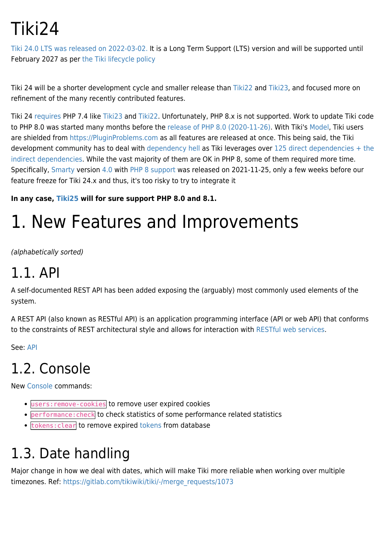# Tiki24

[Tiki 24.0 LTS was released on 2022-03-02.](https://sourceforge.net/projects/tikiwiki/files/Tiki_24.x_Wolf_359/) It is a Long Term Support (LTS) version and will be supported until February 2027 as per [the Tiki lifecycle policy](http://tiki.org/Versions)

Tiki 24 will be a shorter development cycle and smaller release than [Tiki22](https://doc.tiki.org/Tiki22) and [Tiki23,](https://doc.tiki.org/Tiki23) and focused more on refinement of the many recently contributed features.

Tiki 24 [requires](https://doc.tiki.org/krav) PHP 7.4 like [Tiki23](https://doc.tiki.org/Tiki23) and [Tiki22.](https://doc.tiki.org/Tiki22) Unfortunately, PHP 8.x is not supported. Work to update Tiki code to PHP 8.0 was started many months before the [release of PHP 8.0 \(2020-11-26\)](https://www.php.net/ChangeLog-8.php#8.0.0). With Tiki's [Model](http://tiki.org/Model), Tiki users are shielded from <https://PluginProblems.com>as all features are released at once. This being said, the Tiki development community has to deal with [dependency hell](https://en.wikipedia.org/wiki/Dependency_hell) as Tiki leverages over [125 direct dependencies + the](https://doc.tiki.org/Composer) [indirect dependencies.](https://doc.tiki.org/Composer) While the vast majority of them are OK in PHP 8, some of them required more time. Specifically, [Smarty](https://doc.tiki.org/Smarty) version [4.0](https://github.com/smarty-php/smarty/releases/tag/v4.0.0) with [PHP 8 support](https://github.com/smarty-php/smarty/issues/686) was released on 2021-11-25, only a few weeks before our feature freeze for Tiki 24.x and thus, it's too risky to try to integrate it

**In any case, [Tiki25](https://doc.tiki.org/Tiki25) will for sure support PHP 8.0 and 8.1.**

# 1. New Features and Improvements

(alphabetically sorted)

### 1.1. API

A self-documented REST API has been added exposing the (arguably) most commonly used elements of the system.

A REST API (also known as RESTful API) is an application programming interface (API or web API) that conforms to the constraints of REST architectural style and allows for interaction with [RESTful web services.](https://en.wikipedia.org/wiki/Representational_state_transfer)

See: [API](https://doc.tiki.org/API)

## 1.2. Console

New [Console](https://doc.tiki.org/Console) commands:

- users:remove-cookies to remove user expired cookies
- performance: check to check statistics of some performance related statistics
- $\bullet$  [tokens](https://doc.tiki.org/Tokens): clear to remove expired tokens from database

## 1.3. Date handling

Major change in how we deal with dates, which will make Tiki more reliable when working over multiple timezones. Ref: [https://gitlab.com/tikiwiki/tiki/-/merge\\_requests/1073](https://gitlab.com/tikiwiki/tiki/-/merge_requests/1073)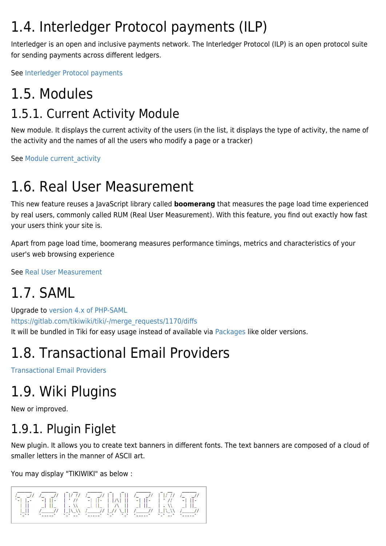### 1.4. Interledger Protocol payments (ILP)

Interledger is an open and inclusive payments network. The Interledger Protocol (ILP) is an open protocol suite for sending payments across different ledgers.

See [Interledger Protocol payments](https://doc.tiki.org/Interledger-Protocol-payments)

### 1.5. Modules 1.5.1. Current Activity Module

New module. It displays the current activity of the users (in the list, it displays the type of activity, the name of the activity and the names of all the users who modify a page or a tracker)

See Module current activity

### 1.6. Real User Measurement

This new feature reuses a JavaScript library called **boomerang** that measures the page load time experienced by real users, commonly called RUM (Real User Measurement). With this feature, you find out exactly how fast your users think your site is.

Apart from page load time, boomerang measures performance timings, metrics and characteristics of your user's web browsing experience

See [Real User Measurement](https://doc.tiki.org/Real-User-Measurement)

## 1.7. SAML

Upgrade to [version 4.x of PHP-SAML](https://github.com/onelogin/php-saml) [https://gitlab.com/tikiwiki/tiki/-/merge\\_requests/1170/diffs](https://gitlab.com/tikiwiki/tiki/-/merge_requests/1170/diffs) It will be bundled in Tiki for easy usage instead of available via [Packages](https://doc.tiki.org/Packages) like older versions.

## 1.8. Transactional Email Providers

[Transactional Email Providers](https://doc.tiki.org/Transactional-Email-Providers)

## 1.9. Wiki Plugins

New or improved.

## 1.9.1. Plugin Figlet

New plugin. It allows you to create text banners in different fonts. The text banners are composed of a cloud of smaller letters in the manner of ASCII art.

You may display "TIKIWIKI" as below :

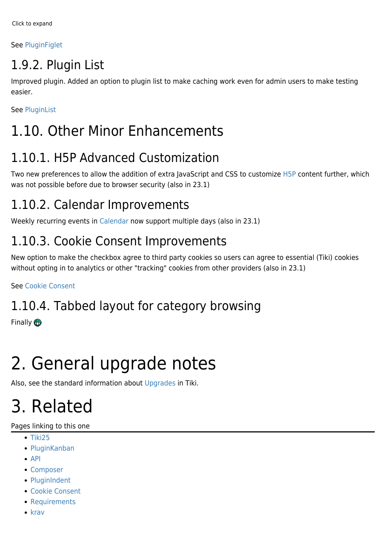#### See [PluginFiglet](https://doc.tiki.org/PluginFiglet)

### 1.9.2. Plugin List

Improved plugin. Added an option to plugin list to make caching work even for admin users to make testing easier.

See [PluginList](https://doc.tiki.org/PluginList)

### 1.10. Other Minor Enhancements

### 1.10.1. H5P Advanced Customization

Two new preferences to allow the addition of extra JavaScript and CSS to customize [H5P](https://doc.tiki.org/H5P) content further, which was not possible before due to browser security (also in 23.1)

### 1.10.2. Calendar Improvements

Weekly recurring events in [Calendar](https://doc.tiki.org/Calendar) now support multiple days (also in 23.1)

### 1.10.3. Cookie Consent Improvements

New option to make the checkbox agree to third party cookies so users can agree to essential (Tiki) cookies without opting in to analytics or other "tracking" cookies from other providers (also in 23.1)

See [Cookie Consent](https://doc.tiki.org/Cookie-Consent)

### 1.10.4. Tabbed layout for category browsing

Finally **m** 

# 2. General upgrade notes

Also, see the standard information about [Upgrades](https://doc.tiki.org/Upgrade) in Tiki.

# 3. Related

#### Pages linking to this one

- $-$ [Tiki25](https://doc.tiki.org/Tiki25)
- [PluginKanban](https://doc.tiki.org/PluginKanban)
- $API$
- [Composer](https://doc.tiki.org/Composer)
- [PluginIndent](https://doc.tiki.org/PluginIndent)
- [Cookie Consent](https://doc.tiki.org/Cookie-Consent)
- [Requirements](https://doc.tiki.org/Requirements)
- $\bullet$  [krav](https://doc.tiki.org/krav)